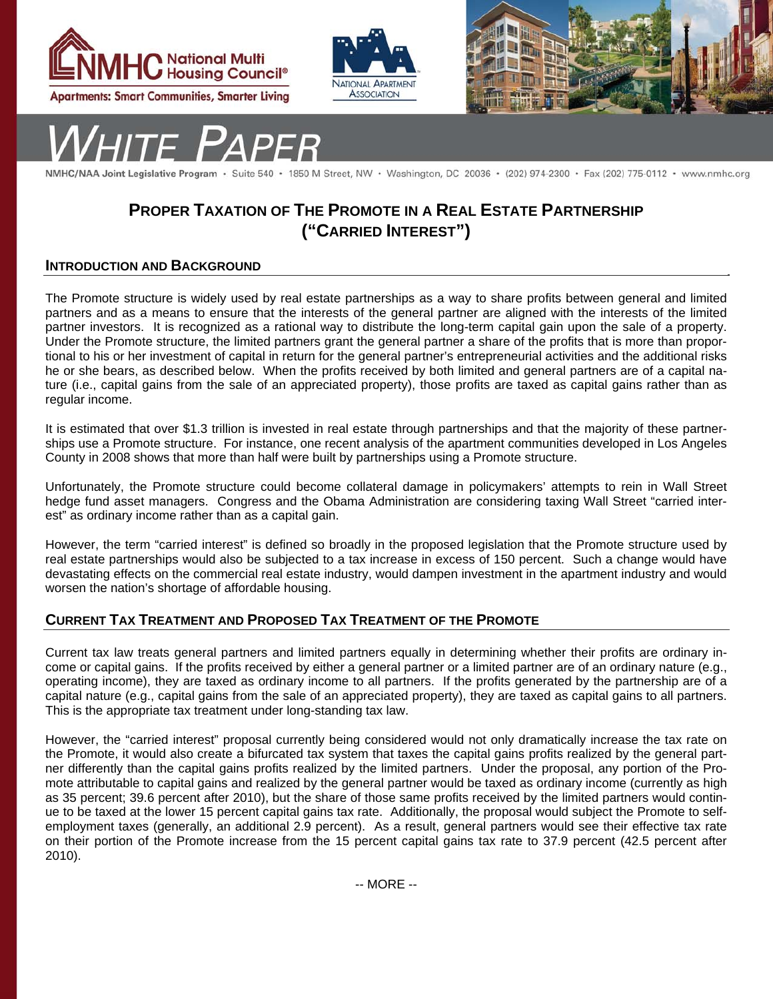





# $T\mathsf{E}$

NMHC/NAA Joint Legislative Program · Suite 540 · 1850 M Street, NW · Washington, DC 20036 · (202) 974-2300 · Fax (202) 775-0112 · www.nmhc.org

## **PROPER TAXATION OF THE PROMOTE IN A REAL ESTATE PARTNERSHIP ("CARRIED INTEREST")**

#### **INTRODUCTION AND BACKGROUND**

The Promote structure is widely used by real estate partnerships as a way to share profits between general and limited partners and as a means to ensure that the interests of the general partner are aligned with the interests of the limited partner investors. It is recognized as a rational way to distribute the long-term capital gain upon the sale of a property. Under the Promote structure, the limited partners grant the general partner a share of the profits that is more than proportional to his or her investment of capital in return for the general partner's entrepreneurial activities and the additional risks he or she bears, as described below. When the profits received by both limited and general partners are of a capital nature (i.e., capital gains from the sale of an appreciated property), those profits are taxed as capital gains rather than as regular income.

It is estimated that over \$1.3 trillion is invested in real estate through partnerships and that the majority of these partnerships use a Promote structure. For instance, one recent analysis of the apartment communities developed in Los Angeles County in 2008 shows that more than half were built by partnerships using a Promote structure.

Unfortunately, the Promote structure could become collateral damage in policymakers' attempts to rein in Wall Street hedge fund asset managers. Congress and the Obama Administration are considering taxing Wall Street "carried interest" as ordinary income rather than as a capital gain.

However, the term "carried interest" is defined so broadly in the proposed legislation that the Promote structure used by real estate partnerships would also be subjected to a tax increase in excess of 150 percent. Such a change would have devastating effects on the commercial real estate industry, would dampen investment in the apartment industry and would worsen the nation's shortage of affordable housing.

#### **CURRENT TAX TREATMENT AND PROPOSED TAX TREATMENT OF THE PROMOTE**

Current tax law treats general partners and limited partners equally in determining whether their profits are ordinary income or capital gains. If the profits received by either a general partner or a limited partner are of an ordinary nature (e.g., operating income), they are taxed as ordinary income to all partners. If the profits generated by the partnership are of a capital nature (e.g., capital gains from the sale of an appreciated property), they are taxed as capital gains to all partners. This is the appropriate tax treatment under long-standing tax law.

However, the "carried interest" proposal currently being considered would not only dramatically increase the tax rate on the Promote, it would also create a bifurcated tax system that taxes the capital gains profits realized by the general partner differently than the capital gains profits realized by the limited partners. Under the proposal, any portion of the Promote attributable to capital gains and realized by the general partner would be taxed as ordinary income (currently as high as 35 percent; 39.6 percent after 2010), but the share of those same profits received by the limited partners would continue to be taxed at the lower 15 percent capital gains tax rate. Additionally, the proposal would subject the Promote to selfemployment taxes (generally, an additional 2.9 percent). As a result, general partners would see their effective tax rate on their portion of the Promote increase from the 15 percent capital gains tax rate to 37.9 percent (42.5 percent after 2010).

-- MORE --